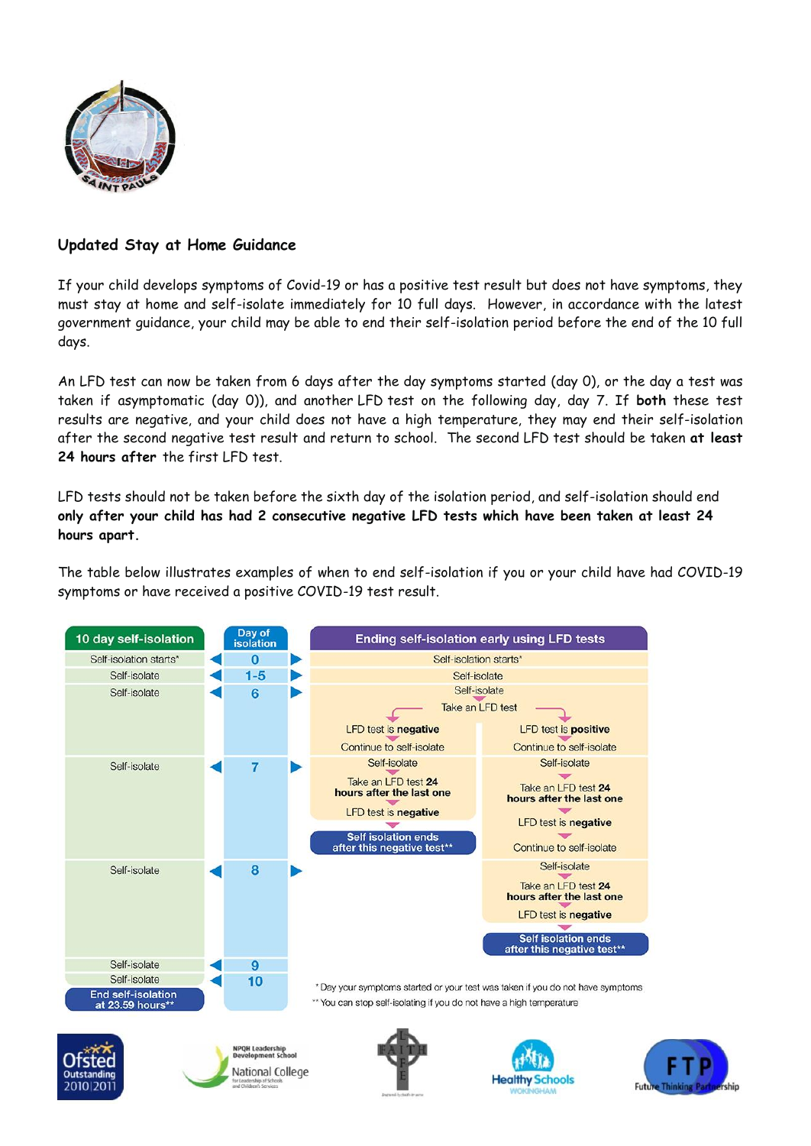

## **Updated Stay at Home Guidance**

If your child develops symptoms of Covid-19 or has a positive test result but does not have symptoms, they must stay at home and self-isolate immediately for 10 full days. However, in accordance with the latest government guidance, your child may be able to end their self-isolation period before the end of the 10 full days.

An LFD test can now be taken from 6 days after the day symptoms started (day 0), or the day a test was taken if asymptomatic (day 0)), and another LFD test on the following day, day 7. If **both** these test results are negative, and your child does not have a high temperature, they may end their self-isolation after the second negative test result and return to school. The second LFD test should be taken **at least 24 hours after** the first LFD test.

LFD tests should not be taken before the sixth day of the isolation period, and self-isolation should end **only after your child has had 2 consecutive negative LFD tests which have been taken at least 24 hours apart.**

The table below illustrates examples of when to end self-isolation if you or your child have had COVID-19 symptoms or have received a positive COVID-19 test result.